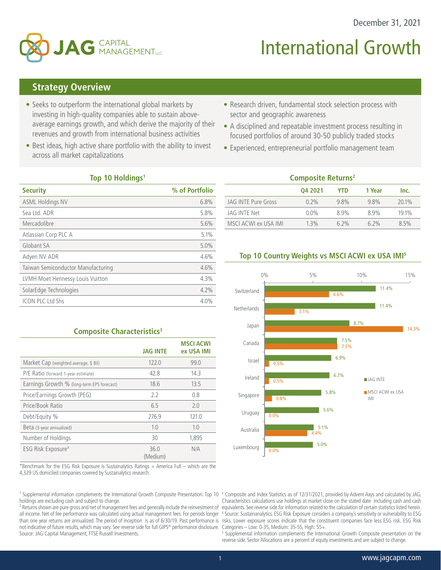

# **International Growth**

# **Strategy Overview**

- Seeks to outperform the international global markets by investing in high-quality companies able to sustain aboveaverage earnings growth, and which derive the majority of their revenues and growth from international business activities
- Best ideas, high active share portfolio with the ability to invest across all market capitalizations
- Research driven, fundamental stock selection process with sector and geographic awareness
- A disciplined and repeatable investment process resulting in focused portfolios of around 30-50 publicly traded stocks
- Experienced, entrepreneurial portfolio management team

#### **Top 10 Holdings1**

| <b>Security</b>                    | % of Portfolio |
|------------------------------------|----------------|
| <b>ASML Holdings NV</b>            | 6.8%           |
| Sea Ltd. ADR                       | 5.8%           |
| Mercadolibre                       | 5.6%           |
| Atlassian Corp PLC A               | 5.1%           |
| Globant SA                         | 5.0%           |
| Adven NV ADR                       | 4.6%           |
| Taiwan Semiconductor Manufacturing | 4.6%           |
| LVMH Moet Hennessy Louis Vuitton   | 4.3%           |
| SolarEdge Technologies             | 4.2%           |
| <b>ICON PLC Ltd Shs</b>            | 4.0%           |

## **Composite Characteristics3**

|                                            | <b>JAG INTE</b>  | <b>MSCI ACWI</b><br>ex USA IMI |
|--------------------------------------------|------------------|--------------------------------|
| Market Cap (weighted average, \$ Bil)      | 122.0            | 99.0                           |
| P/E Ratio (forward 1-year estimate)        | 42.8             | 14.3                           |
| Earnings Growth % (long-term EPS forecast) | 18.6             | 13.5                           |
| Price/Earnings Growth (PEG)                | 2.2              | 0.8                            |
| Price/Book Ratio                           | 6.5              | 2.0                            |
| Debt/Equity %                              | 276.9            | 121.0                          |
| Beta (3-year annualized)                   | 1.0              | 1.0                            |
| Number of Holdings                         | 30               | 1.895                          |
| ESG Risk Exposure <sup>4</sup>             | 36.0<br>(Medium) | N/A                            |

\*Benchmark for the ESG Risk Exposure is Sustainalytics Ratings + America Full – which are the 4,329 US domiciled companies covered by Sustainalytics research.

 $1$  Supplemental information complements the International Growth Composite Presentation. Top 10 holdings are excluding cash and subject to change.

<sup>2</sup> Returns shown are pure gross and net of management fees and generally include the reinvestment of all income. Net of fee performance was calculated using actual management fees. For periods longer not indicative of future results, which may vary. See reverse side for full GIPS® performance disclosure. Categories – Low: 0-35, Medium: 35-55, High: 55+. Source: JAG Capital Management, FTSE Russell Investments.

| <b>Composite Returns<sup>2</sup></b> |         |            |        |       |  |  |  |
|--------------------------------------|---------|------------|--------|-------|--|--|--|
|                                      | 04 2021 | <b>YTD</b> | 1 Year | Inc.  |  |  |  |
| <b>JAG INTE Pure Gross</b>           | 0.2%    | 9.8%       | 9.8%   | 20.1% |  |  |  |
| JAG INTE Net                         | $0.0\%$ | 89%        | 89%    | 19.1% |  |  |  |
| MSCI ACWI ex USA IMI                 | $1.3\%$ | $6.2\%$    | 6.2%   | 8.5%  |  |  |  |

## **Top 10 Country Weights vs MSCI ACWI ex USA IMI5**



than one year returns are annualized. The period of inception is as of 6/30/19. Past performance is risks. Lower exposure scores indicate that the constituent companies face less ESG risk. ESG Risk <sup>3</sup> Composite and Index Statistics as of 12/31/2021, provided by Advent Axys and calculated by JAG. Characteristics calculations use holdings at market close on the stated date including cash and cash equivalents. See reverse side for information related to the calculation of certain statistics listed herein. 4 Source: Sustainanalytics. ESG Risk Exposure considers a company's sensitivity or vulnerability to ESG

5 Supplemental information complements the International Growth Composite presentation on the reverse side. Sector Allocations are a percent of equity investments and are subject to change.